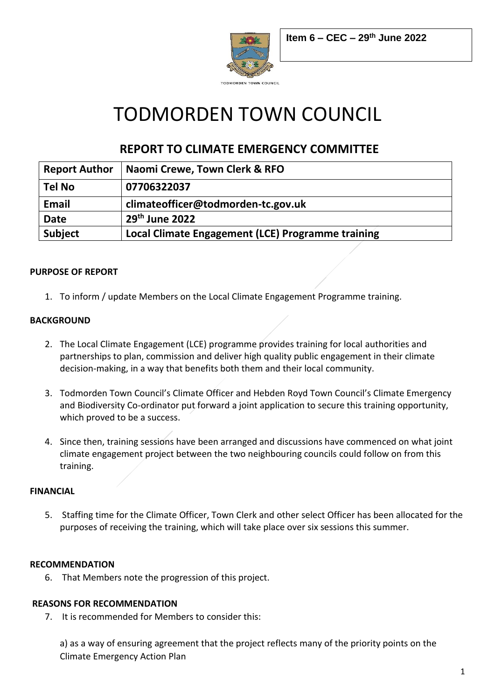

# TODMORDEN TOWN COUNCIL

# **REPORT TO CLIMATE EMERGENCY COMMITTEE**

| <b>Report Author</b> | Naomi Crewe, Town Clerk & RFO                     |
|----------------------|---------------------------------------------------|
| <b>Tel No</b>        | 07706322037                                       |
| <b>Email</b>         | climateofficer@todmorden-tc.gov.uk                |
| <b>Date</b>          | 29 <sup>th</sup> June 2022                        |
| <b>Subject</b>       | Local Climate Engagement (LCE) Programme training |

### **PURPOSE OF REPORT**

1. To inform / update Members on the Local Climate Engagement Programme training.

### **BACKGROUND**

- 2. The Local Climate Engagement (LCE) programme provides training for local authorities and partnerships to plan, commission and deliver high quality public engagement in their climate decision-making, in a way that benefits both them and their local community.
- 3. Todmorden Town Council's Climate Officer and Hebden Royd Town Council's Climate Emergency and Biodiversity Co-ordinator put forward a joint application to secure this training opportunity, which proved to be a success.
- 4. Since then, training sessions have been arranged and discussions have commenced on what joint climate engagement project between the two neighbouring councils could follow on from this training.

### **FINANCIAL**

5. Staffing time for the Climate Officer, Town Clerk and other select Officer has been allocated for the purposes of receiving the training, which will take place over six sessions this summer.

### **RECOMMENDATION**

6. That Members note the progression of this project.

### **REASONS FOR RECOMMENDATION**

7. It is recommended for Members to consider this:

a) as a way of ensuring agreement that the project reflects many of the priority points on the Climate Emergency Action Plan